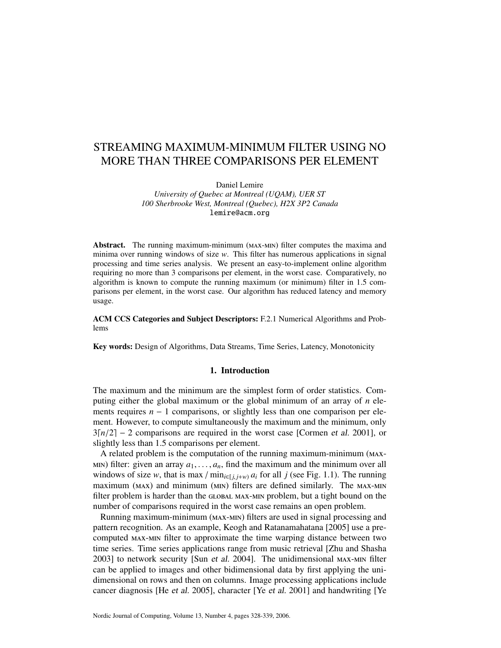# STREAMING MAXIMUM-MINIMUM FILTER USING NO MORE THAN THREE COMPARISONS PER ELEMENT

Daniel Lemire

*University of Quebec at Montreal (UQAM), UER ST 100 Sherbrooke West, Montreal (Quebec), H2X 3P2 Canada* lemire@acm.org

Abstract. The running maximum-minimum (MAX-MIN) filter computes the maxima and minima over running windows of size *w*. This filter has numerous applications in signal processing and time series analysis. We present an easy-to-implement online algorithm requiring no more than 3 comparisons per element, in the worst case. Comparatively, no algorithm is known to compute the running maximum (or minimum) filter in 1.5 comparisons per element, in the worst case. Our algorithm has reduced latency and memory usage.

ACM CCS Categories and Subject Descriptors: F.2.1 Numerical Algorithms and Problems

Key words: Design of Algorithms, Data Streams, Time Series, Latency, Monotonicity

## 1. Introduction

The maximum and the minimum are the simplest form of order statistics. Computing either the global maximum or the global minimum of an array of *n* elements requires *n* − 1 comparisons, or slightly less than one comparison per element. However, to compute simultaneously the maximum and the minimum, only  $3[n/2] - 2$  comparisons are required in the worst case [Cormen et al. 2001], or slightly less than 1.5 comparisons per element.

A related problem is the computation of the running maximum-minimum (MAX-MIN) filter: given an array  $a_1, \ldots, a_n$ , find the maximum and the minimum over all windows of size *w*, that is max / min<sub>*i*∈[*j*,*j*+*w*) *a<sub>i</sub>* for all *j* (see Fig. 1.1). The running</sub> maximum (MAX) and minimum (MIN) filters are defined similarly. The MAX-MIN filter problem is harder than the GLOBAL MAX-MIN problem, but a tight bound on the number of comparisons required in the worst case remains an open problem.

Running maximum-minimum (MAX-MIN) filters are used in signal processing and pattern recognition. As an example, Keogh and Ratanamahatana [2005] use a precomputed MAX-MIN filter to approximate the time warping distance between two time series. Time series applications range from music retrieval [Zhu and Shasha  $2003$ ] to network security [Sun *et al.* 2004]. The unidimensional  $MAX-MIN$  filter can be applied to images and other bidimensional data by first applying the unidimensional on rows and then on columns. Image processing applications include cancer diagnosis [He et al. 2005], character [Ye et al. 2001] and handwriting [Ye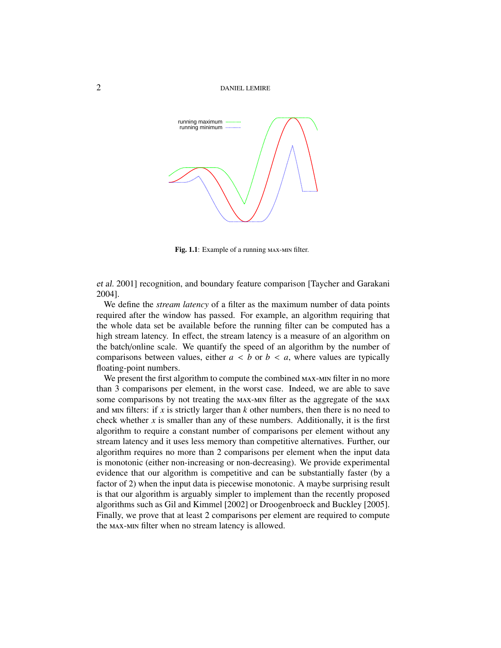

Fig. 1.1: Example of a running MAX-MIN filter.

et al. 2001] recognition, and boundary feature comparison [Taycher and Garakani 2004].

We define the *stream latency* of a filter as the maximum number of data points required after the window has passed. For example, an algorithm requiring that the whole data set be available before the running filter can be computed has a high stream latency. In effect, the stream latency is a measure of an algorithm on the batch/online scale. We quantify the speed of an algorithm by the number of comparisons between values, either  $a < b$  or  $b < a$ , where values are typically floating-point numbers.

We present the first algorithm to compute the combined MAX-MIN filter in no more than 3 comparisons per element, in the worst case. Indeed, we are able to save some comparisons by not treating the  $MAX$ - $MIN$  filter as the aggregate of the  $MAX$ and  $\mu$ IN filters: if *x* is strictly larger than *k* other numbers, then there is no need to check whether  $x$  is smaller than any of these numbers. Additionally, it is the first algorithm to require a constant number of comparisons per element without any stream latency and it uses less memory than competitive alternatives. Further, our algorithm requires no more than 2 comparisons per element when the input data is monotonic (either non-increasing or non-decreasing). We provide experimental evidence that our algorithm is competitive and can be substantially faster (by a factor of 2) when the input data is piecewise monotonic. A maybe surprising result is that our algorithm is arguably simpler to implement than the recently proposed algorithms such as Gil and Kimmel [2002] or Droogenbroeck and Buckley [2005]. Finally, we prove that at least 2 comparisons per element are required to compute the MAX-MIN filter when no stream latency is allowed.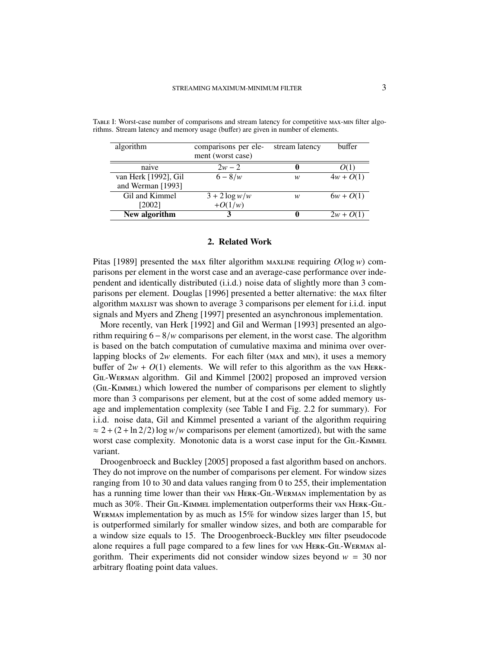| algorithm            | comparisons per ele- | stream latency | buffer      |
|----------------------|----------------------|----------------|-------------|
|                      | ment (worst case)    |                |             |
| naive                | $2w - 2$             | 0              |             |
| van Herk [1992], Gil | $6 - 8/w$            | w              | $4w + O(1)$ |
| and Werman [1993]    |                      |                |             |
| Gil and Kimmel       | $3 + 2 \log w/w$     | w              | $6w + O(1)$ |
| [2002]               | $+O(1/w)$            |                |             |
| New algorithm        |                      | 0              | $2w + O(1)$ |

TABLE I: Worst-case number of comparisons and stream latency for competitive MAX-MIN filter algorithms. Stream latency and memory usage (buffer) are given in number of elements.

#### 2. Related Work

Pitas [1989] presented the  $max$  filter algorithm  $max$  requiring  $O(log w)$  comparisons per element in the worst case and an average-case performance over independent and identically distributed (i.i.d.) noise data of slightly more than 3 comparisons per element. Douglas [1996] presented a better alternative: the MAX filter algorithm was shown to average 3 comparisons per element for i.i.d. input signals and Myers and Zheng [1997] presented an asynchronous implementation.

More recently, van Herk [1992] and Gil and Werman [1993] presented an algorithm requiring 6−8/*<sup>w</sup>* comparisons per element, in the worst case. The algorithm is based on the batch computation of cumulative maxima and minima over overlapping blocks of  $2w$  elements. For each filter ( $MAX$  and  $MIN$ ), it uses a memory buffer of  $2w + O(1)$  elements. We will refer to this algorithm as the van HERK-GIL-WERMAN algorithm. Gil and Kimmel [2002] proposed an improved version (GIL-KIMMEL) which lowered the number of comparisons per element to slightly more than 3 comparisons per element, but at the cost of some added memory usage and implementation complexity (see Table I and Fig. 2.2 for summary). For i.i.d. noise data, Gil and Kimmel presented a variant of the algorithm requiring  $\approx 2 + (2 + \ln 2/2) \log w/w$  comparisons per element (amortized), but with the same worst case complexity. Monotonic data is a worst case input for the GIL-KIMMEL variant.

Droogenbroeck and Buckley [2005] proposed a fast algorithm based on anchors. They do not improve on the number of comparisons per element. For window sizes ranging from 10 to 30 and data values ranging from 0 to 255, their implementation has a running time lower than their van HERK-GIL-WERMAN implementation by as much as 30%. Their GIL-KIMMEL implementation outperforms their van HERK-GIL-WERMAN implementation by as much as  $15\%$  for window sizes larger than 15, but is outperformed similarly for smaller window sizes, and both are comparable for a window size equals to 15. The Droogenbroeck-Buckley MIN filter pseudocode alone requires a full page compared to a few lines for van HERK-GIL-WERMAN algorithm. Their experiments did not consider window sizes beyond *w* = 30 nor arbitrary floating point data values.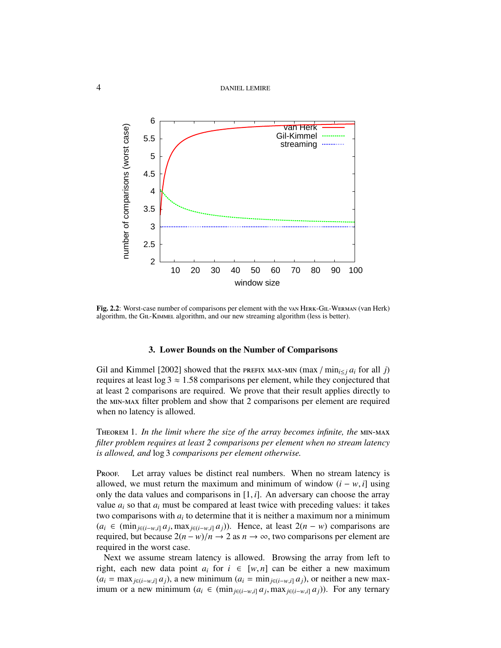4 DANIEL LEMIRE



Fig. 2.2: Worst-case number of comparisons per element with the van HERK-GIL-WERMAN (van Herk) algorithm, the GIL-KIMMEL algorithm, and our new streaming algorithm (less is better).

### 3. Lower Bounds on the Number of Comparisons

Gil and Kimmel [2002] showed that the **PREFIX MAX-MIN** (max / min<sub>i $\leq i$ </sub> *a*<sub>*i*</sub> for all *j*) requires at least  $log 3 \approx 1.58$  comparisons per element, while they conjectured that at least 2 comparisons are required. We prove that their result applies directly to the MIN-MAX filter problem and show that 2 comparisons per element are required when no latency is allowed.

THEOREM 1. In the limit where the size of the array becomes infinite, the MIN-MAX *filter problem requires at least 2 comparisons per element when no stream latency is allowed, and* log 3 *comparisons per element otherwise.*

PROOF. Let array values be distinct real numbers. When no stream latency is allowed, we must return the maximum and minimum of window  $(i - w, i]$  using only the data values and comparisons in [1, *<sup>i</sup>*]. An adversary can choose the array value  $a_i$  so that  $a_i$  must be compared at least twice with preceding values: it takes two comparisons with *a<sup>i</sup>* to determine that it is neither a maximum nor a minimum ( $a_i$  ∈ (min<sub>j∈(*i*−*w*,*i*]  $a_j$ , max<sub>*j*∈(*i*−*w*,*i*]  $a_j$ )). Hence, at least 2( $n - w$ ) comparisons are represent are required by the property  $a_j$  as  $n \to \infty$  two comparisons per element are</sub></sub> required, but because  $2(n - w)/n$  → 2 as  $n \to \infty$ , two comparisons per element are required in the worst case.

Next we assume stream latency is allowed. Browsing the array from left to right, each new data point  $a_i$  for  $i \in [w, n]$  can be either a new maximum  $(a_i = \max_{j \in (i-w,i]} a_j)$ , a new minimum  $(a_i = \min_{j \in (i-w,i]} a_j)$ , or neither a new maximum or a new minimum ( $a_i$  ∈ (min<sub>*j*∈(*i*−*w*,*i*]  $a_j$ , max<sub>*j*∈(*i*−*w*,*i*]  $a_j$ )). For any ternary</sub></sub>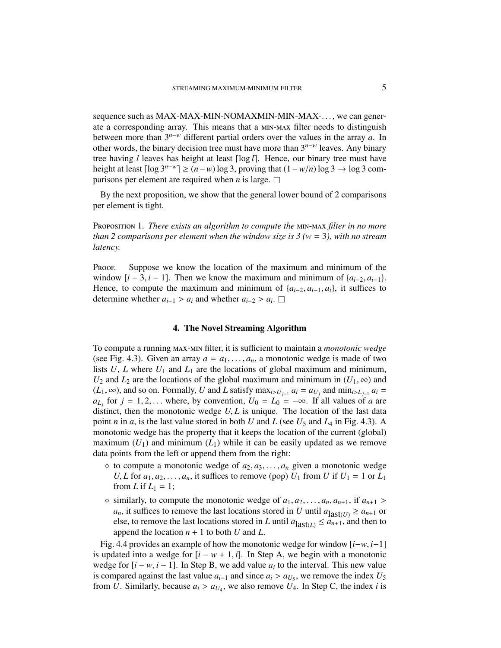sequence such as MAX-MAX-MIN-NOMAXMIN-MIN-MAX-..., we can generate a corresponding array. This means that a  $MIN-MAX$  filter needs to distinguish between more than 3*n*−*<sup>w</sup>* different partial orders over the values in the array *a*. In other words, the binary decision tree must have more than 3*n*−*<sup>w</sup>* leaves. Any binary tree having  $l$  leaves has height at least  $\lceil \log l \rceil$ . Hence, our binary tree must have height at least  $\lceil \log 3^{n-w} \rceil \ge (n-w) \log 3$ , proving that  $(1-w/n) \log 3 \rightarrow \log 3$  comparisons per element are required when *n* is large.  $\square$ 

By the next proposition, we show that the general lower bound of 2 comparisons per element is tight.

PROPOSITION 1. *There exists an algorithm to compute the* MIN-MAX *filter in no more than 2 comparisons per element when the window size is 3 (w* = 3*), with no stream latency.*

Proof. Suppose we know the location of the maximum and minimum of the window  $[i - 3, i - 1]$ . Then we know the maximum and minimum of  $\{a_{i-2}, a_{i-1}\}$ . Hence, to compute the maximum and minimum of  $\{a_{i-2}, a_{i-1}, a_i\}$ , it suffices to determine whether  $a_{i-1} > a_i$  and whether  $a_{i-2} > a_i$ . □

## 4. The Novel Streaming Algorithm

To compute a running  $MAX-MIN$  filter, it is sufficient to maintain a *monotonic wedge* (see Fig. 4.3). Given an array  $a = a_1, \ldots, a_n$ , a monotonic wedge is made of two lists *U*, *L* where  $U_1$  and  $L_1$  are the locations of global maximum and minimum, *U*<sub>2</sub> and *L*<sub>2</sub> are the locations of the global maximum and minimum in  $(U_1, \infty)$  and (*L*<sub>1</sub>, ∞), and so on. Formally, *U* and *L* satisfy  $\max_{i>U_{j-1}} a_i = a_{U_j}$  and  $\min_{i>L_{j-1}} a_i = a_{U_j}$  for  $i = 1, 2$  where by convention  $U_0 = I_0 = -\infty$  If all values of *a* are  $a_{L_j}$  for  $j = 1, 2, ...$  where, by convention,  $U_0 = L_0 = -\infty$ . If all values of *a* are distinct then the monotonic wedge *U.I* is unique. The location of the last data distinct, then the monotonic wedge *<sup>U</sup>*, *<sup>L</sup>* is unique. The location of the last data point *n* in *a*, is the last value stored in both *U* and *L* (see  $U_5$  and  $L_4$  in Fig. 4.3). A monotonic wedge has the property that it keeps the location of the current (global) maximum  $(U_1)$  and minimum  $(L_1)$  while it can be easily updated as we remove data points from the left or append them from the right:

- $\circ$  to compute a monotonic wedge of  $a_2, a_3, \ldots, a_n$  given a monotonic wedge *U*, *L* for  $a_1, a_2, \ldots, a_n$ , it suffices to remove (pop)  $U_1$  from *U* if  $U_1 = 1$  or  $L_1$ from *L* if  $L_1 = 1$ ;
- $\circ$  similarly, to compute the monotonic wedge of  $a_1, a_2, \ldots, a_n, a_{n+1}$ , if  $a_{n+1} > a_n$ *a<sub>n</sub>*, it suffices to remove the last locations stored in *U* until  $a_{\text{last}(U)} \ge a_{n+1}$  or else, to remove the last locations stored in *L* until  $a_{\text{last}(L)} \le a_{n+1}$ , and then to append the location  $n + 1$  to both *U* and *L*.

Fig. 4.4 provides an example of how the monotonic wedge for window [*i*−*w*, *<sup>i</sup>*−1] is updated into a wedge for  $[i - w + 1, i]$ . In Step A, we begin with a monotonic wedge for  $[i - w, i - 1]$ . In Step B, we add value  $a_i$  to the interval. This new value<br>is compared against the last value  $a_i$ , and since  $a_i > a_{ii}$ , we remove the index  $U_i$ is compared against the last value  $a_{i-1}$  and since  $a_i > a_{U_5}$ , we remove the index  $U_5$ <br>from *U* Similarly because  $a_i > a_{U_i}$ , we also remove  $U_4$ . In Step C, the index *i* is from *U*. Similarly, because  $a_i > a_{U_4}$ , we also remove  $U_4$ . In Step C, the index *i* is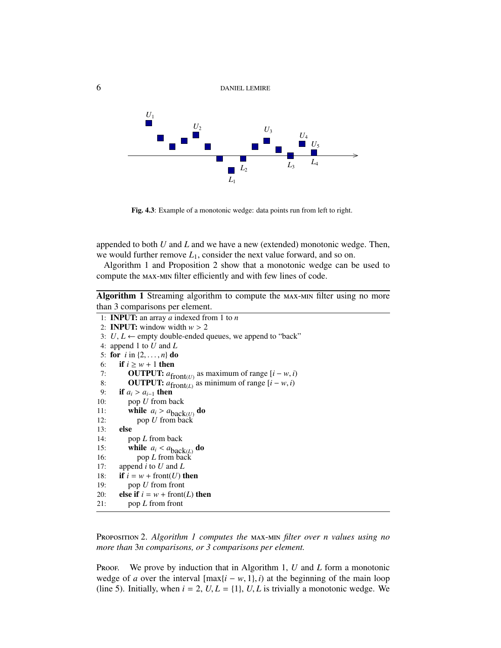

Fig. 4.3: Example of a monotonic wedge: data points run from left to right.

appended to both *U* and *L* and we have a new (extended) monotonic wedge. Then, we would further remove *L*1, consider the next value forward, and so on.

Algorithm 1 and Proposition 2 show that a monotonic wedge can be used to compute the  $MAX-MIN$  filter efficiently and with few lines of code.

Algorithm 1 Streaming algorithm to compute the MAX-MIN filter using no more than 3 comparisons per element.

```
1: INPUT: an array a indexed from 1 to n
 2: INPUT: window width w > 23: U, L \leftarrow empty double-ended queues, we append to "back"
 4: append 1 to U and L
 5: for i in \{2, ..., n\} do<br>6: if i \geq w + 1 then
        if i \geq w + 1 then
 7: OUTPUT: a_{\text{front}(U)} as maximum of range [i - w, i]<br>8: OUTPUT: a_c as minimum of range [i - w, i]8: OUTPUT: a_{\text{front}(L)} as minimum of range [i - w, i]9: if a_i > a_{i-1} then<br>10: pop U from by
           pop U from back
11: while a_i > a_{\text{back}(U)} do<br>
12: pop II from back
12: pop U from back
13: else
14: pop L from back
15: while a_i < a_{\text{back}(L)} do<br>
16: pop L from back
16: pop L from back
17: append i to U and L
18: if i = w + \text{front}(U) then
19: pop U from front
20: else if i = w + \text{front}(L) then
21: pop L from front
```
PROPOSITION 2. *Algorithm 1 computes the* MAX-MIN *filter over n values using no more than* 3*n comparisons, or 3 comparisons per element.*

Proof. We prove by induction that in Algorithm 1, *U* and *L* form a monotonic wedge of *a* over the interval  $[\max\{i - w, 1\}, i)$  at the beginning of the main loop (line 5). Initially, when  $i = 2$ ,  $U, L = \{1\}$ ,  $U, L$  is trivially a monotonic wedge. We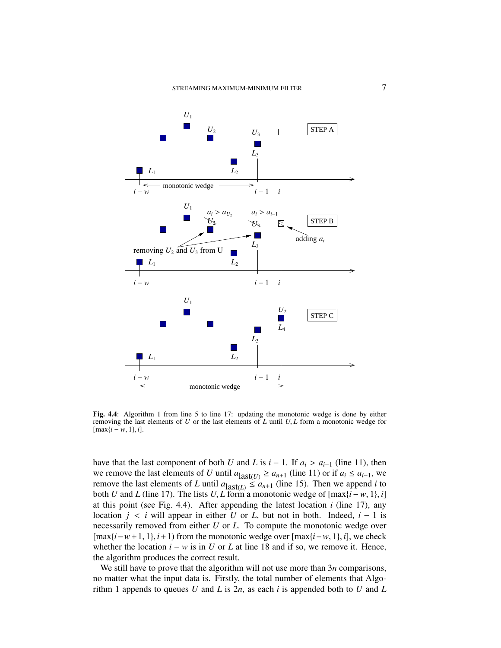

Fig. 4.4: Algorithm 1 from line 5 to line 17: updating the monotonic wedge is done by either removing the last elements of *<sup>U</sup>* or the last elements of *<sup>L</sup>* until *<sup>U</sup>*, *<sup>L</sup>* form a monotonic wedge for [max{*<sup>i</sup>* <sup>−</sup> *<sup>w</sup>*, <sup>1</sup>}, *<sup>i</sup>*].

have that the last component of both *U* and *L* is  $i - 1$ . If  $a_i > a_{i-1}$  (line 11), then we remove the last elements of *U* until  $a_{\text{last}(U)} \ge a_{n+1}$  (line 11) or if  $a_i \le a_{i-1}$ , we remove the last elements of *L* until  $a_{\text{last}(L)} \le a_{n+1}$  (line 15). Then we append *i* to both *U* and *L* (line 17). The lists *U*, *L* form a monotonic wedge of  $[\max\{i - w, 1\}, i]$ <br>at this point (see Fig. 4.4). After appending the latest location *i* (line 17), any at this point (see Fig. 4.4). After appending the latest location *i* (line 17), any location  $j < i$  will appear in either *U* or *L*, but not in both. Indeed,  $i - 1$  is necessarily removed from either *U* or *L*. To compute the monotonic wedge over [max{*i*−*w*+1, <sup>1</sup>}, *<sup>i</sup>*+1) from the monotonic wedge over [max{*i*−*w*, <sup>1</sup>}, *<sup>i</sup>*], we check whether the location  $i - w$  is in *U* or *L* at line 18 and if so, we remove it. Hence, the algorithm produces the correct result.

We still have to prove that the algorithm will not use more than 3*n* comparisons, no matter what the input data is. Firstly, the total number of elements that Algorithm 1 appends to queues *U* and *L* is 2*n*, as each *i* is appended both to *U* and *L*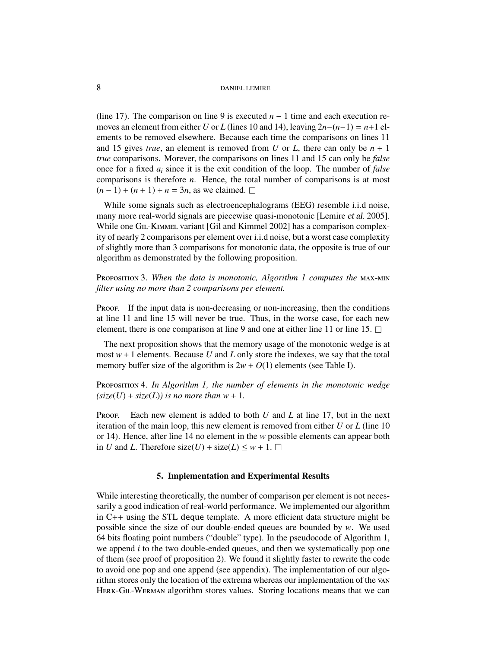8 DANIEL LEMIRE

(line 17). The comparison on line 9 is executed  $n - 1$  time and each execution removes an element from either *U* or *L* (lines 10 and 14), leaving  $2n-(n-1) = n+1$  elements to be removed elsewhere. Because each time the comparisons on lines 11 and 15 gives *true*, an element is removed from *U* or *L*, there can only be  $n + 1$ *true* comparisons. Morever, the comparisons on lines 11 and 15 can only be *false* once for a fixed *a<sup>i</sup>* since it is the exit condition of the loop. The number of *false* comparisons is therefore *n*. Hence, the total number of comparisons is at most  $(n-1) + (n+1) + n = 3n$ , as we claimed. □

While some signals such as electroencephalograms (EEG) resemble i.i.d noise, many more real-world signals are piecewise quasi-monotonic [Lemire et al. 2005]. While one GIL-KIMMEL variant [Gil and Kimmel 2002] has a comparison complexity of nearly 2 comparisons per element over i.i.d noise, but a worst case complexity of slightly more than 3 comparisons for monotonic data, the opposite is true of our algorithm as demonstrated by the following proposition.

PROPOSITION 3. When the data is monotonic, Algorithm 1 computes the MAX-MIN *filter using no more than 2 comparisons per element.*

PROOF. If the input data is non-decreasing or non-increasing, then the conditions at line 11 and line 15 will never be true. Thus, in the worse case, for each new element, there is one comparison at line 9 and one at either line 11 or line 15.  $\Box$ 

The next proposition shows that the memory usage of the monotonic wedge is at most  $w + 1$  elements. Because U and L only store the indexes, we say that the total memory buffer size of the algorithm is  $2w + O(1)$  elements (see Table I).

PROPOSITION 4. In Algorithm 1, the number of elements in the monotonic wedge  $(size(U) + size(L))$  *is no more than*  $w + 1$ *.* 

PROOF. Each new element is added to both *U* and *L* at line 17, but in the next iteration of the main loop, this new element is removed from either *U* or *L* (line 10 or 14). Hence, after line 14 no element in the *w* possible elements can appear both in *U* and *L*. Therefore size(*U*) + size(*L*)  $\leq w + 1$ .

#### 5. Implementation and Experimental Results

While interesting theoretically, the number of comparison per element is not necessarily a good indication of real-world performance. We implemented our algorithm in C++ using the STL deque template. A more efficient data structure might be possible since the size of our double-ended queues are bounded by *w*. We used 64 bits floating point numbers ("double" type). In the pseudocode of Algorithm 1, we append *i* to the two double-ended queues, and then we systematically pop one of them (see proof of proposition 2). We found it slightly faster to rewrite the code to avoid one pop and one append (see appendix). The implementation of our algorithm stores only the location of the extrema whereas our implementation of the HERK-GIL-WERMAN algorithm stores values. Storing locations means that we can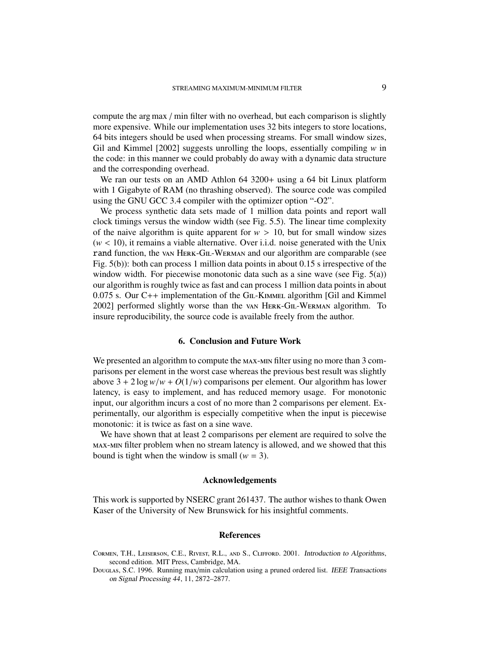compute the arg max / min filter with no overhead, but each comparison is slightly more expensive. While our implementation uses 32 bits integers to store locations, 64 bits integers should be used when processing streams. For small window sizes, Gil and Kimmel [2002] suggests unrolling the loops, essentially compiling *w* in the code: in this manner we could probably do away with a dynamic data structure and the corresponding overhead.

We ran our tests on an AMD Athlon 64 3200+ using a 64 bit Linux platform with 1 Gigabyte of RAM (no thrashing observed). The source code was compiled using the GNU GCC 3.4 compiler with the optimizer option "-O2".

We process synthetic data sets made of 1 million data points and report wall clock timings versus the window width (see Fig. 5.5). The linear time complexity of the naive algorithm is quite apparent for  $w > 10$ , but for small window sizes  $(w < 10)$ , it remains a viable alternative. Over i.i.d. noise generated with the Unix rand function, the van HERK-GIL-WERMAN and our algorithm are comparable (see Fig. 5(b)): both can process 1 million data points in about 0.15 s irrespective of the window width. For piecewise monotonic data such as a sine wave (see Fig. 5(a)) our algorithm is roughly twice as fast and can process 1 million data points in about  $0.075$  s. Our C++ implementation of the G<sub>IL</sub>-K<sub>IMMEL</sub> algorithm [Gil and Kimmel] 2002] performed slightly worse than the van HERK-GIL-WERMAN algorithm. To insure reproducibility, the source code is available freely from the author.

## 6. Conclusion and Future Work

We presented an algorithm to compute the  $MAX$ - $MIN$  filter using no more than 3 comparisons per element in the worst case whereas the previous best result was slightly above  $3 + 2 \log w/w + O(1/w)$  comparisons per element. Our algorithm has lower latency, is easy to implement, and has reduced memory usage. For monotonic input, our algorithm incurs a cost of no more than 2 comparisons per element. Experimentally, our algorithm is especially competitive when the input is piecewise monotonic: it is twice as fast on a sine wave.

We have shown that at least 2 comparisons per element are required to solve the MAX-MIN filter problem when no stream latency is allowed, and we showed that this bound is tight when the window is small ( $w = 3$ ).

#### Acknowledgements

This work is supported by NSERC grant 261437. The author wishes to thank Owen Kaser of the University of New Brunswick for his insightful comments.

## References

- CORMEN, T.H., LEISERSON, C.E., RIVEST, R.L., AND S., CLIFFORD. 2001. Introduction to Algorithms, second edition. MIT Press, Cambridge, MA.
- Douglas, S.C. 1996. Running max/min calculation using a pruned ordered list. IEEE Transactions on Signal Processing 44, 11, 2872–2877.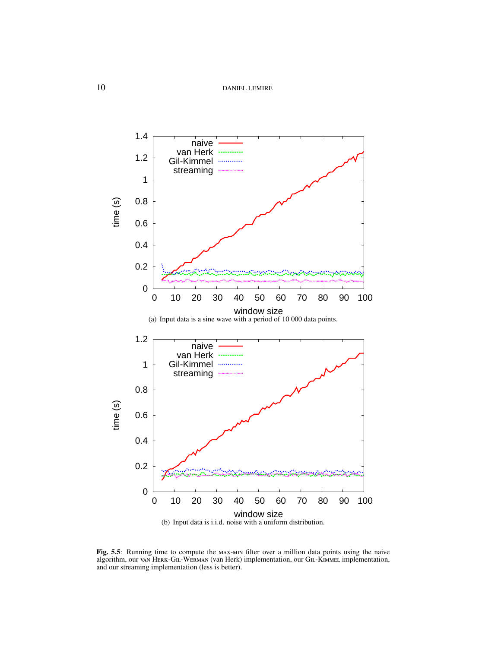10 DANIEL LEMIRE



Fig. 5.5: Running time to compute the MAX-MIN filter over a million data points using the naive algorithm, our van HERK-GIL-WERMAN (van Herk) implementation, our GIL-KIMMEL implementation, and our streaming implementation (less is better).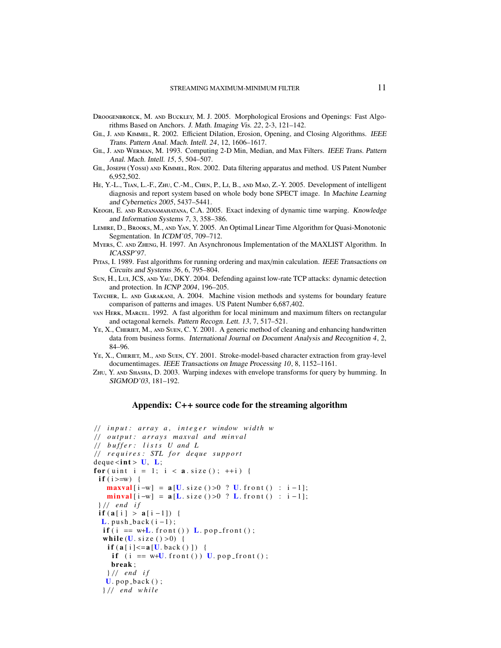- DROOGENBROECK, M. AND BUCKLEY, M. J. 2005. Morphological Erosions and Openings: Fast Algorithms Based on Anchors. J. Math. Imaging Vis. 22, 2-3, 121–142.
- GIL, J. AND KIMMEL, R. 2002. Efficient Dilation, Erosion, Opening, and Closing Algorithms. IEEE Trans. Pattern Anal. Mach. Intell. 24, 12, 1606–1617.
- GIL, J. AND WERMAN, M. 1993. Computing 2-D Min, Median, and Max Filters. IEEE Trans. Pattern Anal. Mach. Intell. 15, 5, 504–507.
- GIL, JOSEPH (YOSSI) AND KIMMEL, RON. 2002. Data filtering apparatus and method. US Patent Number 6,952,502.
- HE, Y.-L., TIAN, L.-F., ZHU, C.-M., CHEN, P., LI, B., AND MAO, Z.-Y. 2005. Development of intelligent diagnosis and report system based on whole body bone SPECT image. In Machine Learning and Cybernetics 2005, 5437–5441.
- KEOGH, E. AND RATANAMAHATANA, C.A. 2005. Exact indexing of dynamic time warping. Knowledge and Information Systems 7, 3, 358–386.
- LEMIRE, D., BROOKS, M., AND YAN, Y. 2005. An Optimal Linear Time Algorithm for Quasi-Monotonic Segmentation. In ICDM'05, 709-712.
- MYERS, C. AND ZHENG, H. 1997. An Asynchronous Implementation of the MAXLIST Algorithm. In ICASSP'97.
- Prras, I. 1989. Fast algorithms for running ordering and max/min calculation. IEEE Transactions on Circuits and Systems 36, 6, 795–804.
- SUN, H., LUI, JCS, AND YAU, DKY. 2004. Defending against low-rate TCP attacks: dynamic detection and protection. In ICNP 2004, 196–205.
- TAYCHER, L. AND GARAKANI, A. 2004. Machine vision methods and systems for boundary feature comparison of patterns and images. US Patent Number 6,687,402.
- van HERK, MARCEL. 1992. A fast algorithm for local minimum and maximum filters on rectangular and octagonal kernels. Pattern Recogn. Lett. 13, 7, 517–521.
- YE, X., CHERIET, M., AND SUEN, C. Y. 2001. A generic method of cleaning and enhancing handwritten data from business forms. International Journal on Document Analysis and Recognition 4, 2, 84–96.
- YE, X., CHERIET, M., AND SUEN, CY. 2001. Stroke-model-based character extraction from gray-level documentimages. IEEE Transactions on Image Processing 10, 8, 1152–1161.
- ZHU, Y. AND SHASHA, D. 2003. Warping indexes with envelope transforms for query by humming. In SIGMOD'03, 181–192.

#### Appendix: C++ source code for the streaming algorithm

```
/ / i n p u t : a r r a y a , i n t e g e r window wi dt h w
/ / o u t p u t : a r r a y s m axv al and mi n v al
/ / b u f f e r : l i s t s U and L
/ / r e q u i r e s : STL f o r de q ue s u p p o r t
deque \langle \text{int} \rangle U, L;
for ( u int i = 1; i < a. size ( ); ++i ) {
 if (i > = w) {
    maxval [i-w] = a[U \text{ size } ( )>0 ? U \text{ from } ( ) : i-1];minval[i-w] = a[L.size() > 0 ? L front() : i-1];} / / end i f
 if (a[i] > a[i-1]) {
  L. push-back(i-1);if ( i == w+L. front () ) L. pop\_front() ;while (U \text{. size } ( ) > 0 ) {
    if (a[i] \le a[U.\,back()]) \; \{if (i == w+U. front()) U. pop-front();
     break ;
    } / / end i f
   U. pop\_back();
  } / / end w h il e
```